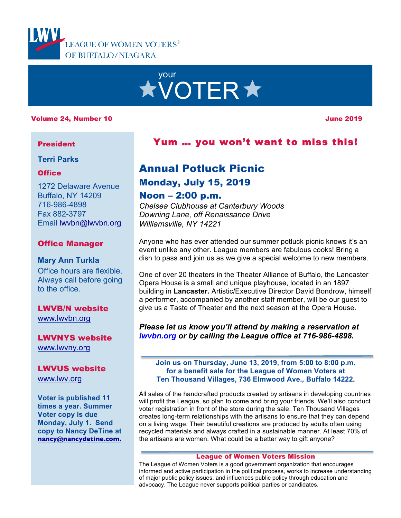



### Volume 24, Number 10 June 2019

## President

## **Terri Parks**

## **Office**

1272 Delaware Avenue Buffalo, NY 14209 716-986-4898 Fax 882-3797 Email lwvbn@lwvbn.org

## Office Manager

## **Mary Ann Turkla** Office hours are flexible.

Always call before going to the office.

# LWVB/N website

www.lwvbn.org

## LWVNYS website www.lwvny.org

#### LWVUS website

www.lwv.org

**Voter is published 11 times a year. Summer Voter copy is due Monday, July 1. Send copy to Nancy DeTine at nancy@nancydetine.com.**

# Yum … you won't want to miss this!

# Annual Potluck Picnic

# Monday, July 15, 2019

## Noon – 2:00 p.m.

*Chelsea Clubhouse at Canterbury Woods Downing Lane, off Renaissance Drive Williamsville, NY 14221*

Anyone who has ever attended our summer potluck picnic knows it's an event unlike any other. League members are fabulous cooks! Bring a dish to pass and join us as we give a special welcome to new members.

One of over 20 theaters in the Theater Alliance of Buffalo, the Lancaster Opera House is a small and unique playhouse, located in an 1897 building in **Lancaster.** Artistic/Executive Director David Bondrow, himself a performer, accompanied by another staff member, will be our guest to give us a Taste of Theater and the next season at the Opera House.

*Please let us know you'll attend by making a reservation at lwvbn.org or by calling the League office at 716-986-4898.*

**Join us on Thursday, June 13, 2019, from 5:00 to 8:00 p.m. for a benefit sale for the League of Women Voters at Ten Thousand Villages, 736 Elmwood Ave., Buffalo 14222.**

All sales of the handcrafted products created by artisans in developing countries will profit the League, so plan to come and bring your friends. We'll also conduct voter registration in front of the store during the sale. Ten Thousand Villages creates long-term relationships with the artisans to ensure that they can depend on a living wage. Their beautiful creations are produced by adults often using recycled materials and always crafted in a sustainable manner. At least 70% of the artisans are women. What could be a better way to gift anyone?

#### League of Women Voters Mission

The League of Women Voters is a good government organization that encourages informed and active participation in the political process, works to increase understanding of major public policy issues, and influences public policy through education and advocacy. The League never supports political parties or candidates.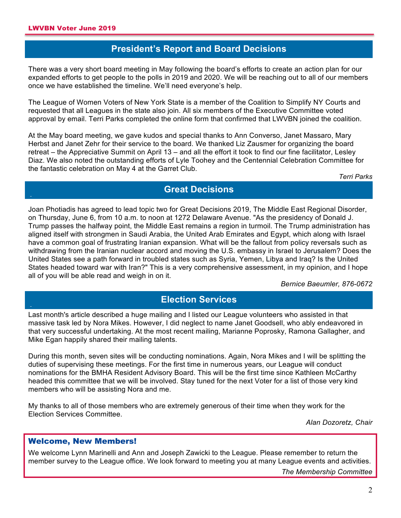**A**

**A**

# **President's Report and Board Decisions**

There was a very short board meeting in May following the board's efforts to create an action plan for our expanded efforts to get people to the polls in 2019 and 2020. We will be reaching out to all of our members once we have established the timeline. We'll need everyone's help.

The League of Women Voters of New York State is a member of the Coalition to Simplify NY Courts and requested that all Leagues in the state also join. All six members of the Executive Committee voted approval by email. Terri Parks completed the online form that confirmed that LWVBN joined the coalition.

At the May board meeting, we gave kudos and special thanks to Ann Converso, Janet Massaro, Mary Herbst and Janet Zehr for their service to the board. We thanked Liz Zausmer for organizing the board retreat – the Appreciative Summit on April 13 – and all the effort it took to find our fine facilitator, Lesley Diaz. We also noted the outstanding efforts of Lyle Toohey and the Centennial Celebration Committee for the fantastic celebration on May 4 at the Garret Club.

*Terri Parks*

## **Great Decisions**

Joan Photiadis has agreed to lead topic two for Great Decisions 2019, The Middle East Regional Disorder, on Thursday, June 6, from 10 a.m. to noon at 1272 Delaware Avenue. "As the presidency of Donald J. Trump passes the halfway point, the Middle East remains a region in turmoil. The Trump administration has aligned itself with strongmen in Saudi Arabia, the United Arab Emirates and Egypt, which along with Israel have a common goal of frustrating Iranian expansion. What will be the fallout from policy reversals such as withdrawing from the Iranian nuclear accord and moving the U.S. embassy in Israel to Jerusalem? Does the United States see a path forward in troubled states such as Syria, Yemen, Libya and Iraq? Is the United States headed toward war with Iran?" This is a very comprehensive assessment, in my opinion, and I hope all of you will be able read and weigh in on it.

*Bernice Baeumler, 876-0672*

# **Election Services**

Last month's article described a huge mailing and I listed our League volunteers who assisted in that massive task led by Nora Mikes. However, I did neglect to name Janet Goodsell, who ably endeavored in that very successful undertaking. At the most recent mailing, Marianne Poprosky, Ramona Gallagher, and Mike Egan happily shared their mailing talents.

During this month, seven sites will be conducting nominations. Again, Nora Mikes and I will be splitting the duties of supervising these meetings. For the first time in numerous years, our League will conduct nominations for the BMHA Resident Advisory Board. This will be the first time since Kathleen McCarthy headed this committee that we will be involved. Stay tuned for the next Voter for a list of those very kind members who will be assisting Nora and me.

My thanks to all of those members who are extremely generous of their time when they work for the Election Services Committee.

*Alan Dozoretz, Chair*

## Welcome, New Members!

We welcome Lynn Marinelli and Ann and Joseph Zawicki to the League. Please remember to return the member survey to the League office. We look forward to meeting you at many League events and activities.

*The Membership Committee*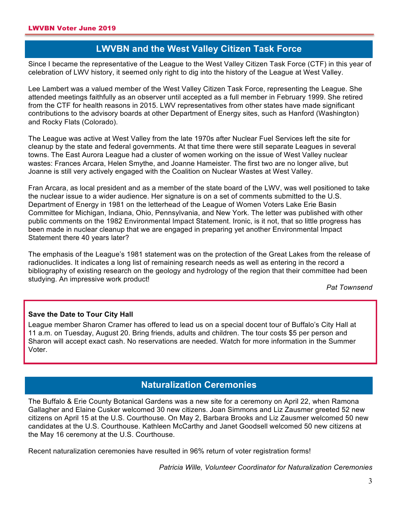# **LWVBN and the West Valley Citizen Task Force**

**A**<br>Since I became the representative of the League to the West Valley Citizen Task Force (CTF) in this year of celebration of LWV history, it seemed only right to dig into the history of the League at West Valley.

Lee Lambert was a valued member of the West Valley Citizen Task Force, representing the League. She attended meetings faithfully as an observer until accepted as a full member in February 1999. She retired from the CTF for health reasons in 2015. LWV representatives from other states have made significant contributions to the advisory boards at other Department of Energy sites, such as Hanford (Washington) and Rocky Flats (Colorado).

The League was active at West Valley from the late 1970s after Nuclear Fuel Services left the site for cleanup by the state and federal governments. At that time there were still separate Leagues in several towns. The East Aurora League had a cluster of women working on the issue of West Valley nuclear wastes: Frances Arcara, Helen Smythe, and Joanne Hameister. The first two are no longer alive, but Joanne is still very actively engaged with the Coalition on Nuclear Wastes at West Valley.

Fran Arcara, as local president and as a member of the state board of the LWV, was well positioned to take the nuclear issue to a wider audience. Her signature is on a set of comments submitted to the U.S. Department of Energy in 1981 on the letterhead of the League of Women Voters Lake Erie Basin Committee for Michigan, Indiana, Ohio, Pennsylvania, and New York. The letter was published with other public comments on the 1982 Environmental Impact Statement. Ironic, is it not, that so little progress has been made in nuclear cleanup that we are engaged in preparing yet another Environmental Impact Statement there 40 years later?

The emphasis of the League's 1981 statement was on the protection of the Great Lakes from the release of radionuclides. It indicates a long list of remaining research needs as well as entering in the record a bibliography of existing research on the geology and hydrology of the region that their committee had been studying. An impressive work product!

*Pat Townsend*

## **Save the Date to Tour City Hall**

League member Sharon Cramer has offered to lead us on a special docent tour of Buffalo's City Hall at 11 a.m. on Tuesday, August 20. Bring friends, adults and children. The tour costs \$5 per person and Sharon will accept exact cash. No reservations are needed. Watch for more information in the Summer Voter.

# **Naturalization Ceremonies**

The Buffalo & Erie County Botanical Gardens was a new site for a ceremony on April 22, when Ramona Gallagher and Elaine Cusker welcomed 30 new citizens. Joan Simmons and Liz Zausmer greeted 52 new citizens on April 15 at the U.S. Courthouse. On May 2, Barbara Brooks and Liz Zausmer welcomed 50 new candidates at the U.S. Courthouse. Kathleen McCarthy and Janet Goodsell welcomed 50 new citizens at the May 16 ceremony at the U.S. Courthouse.

Recent naturalization ceremonies have resulted in 96% return of voter registration forms!

*Patricia Wille, Volunteer Coordinator for Naturalization Ceremonies*